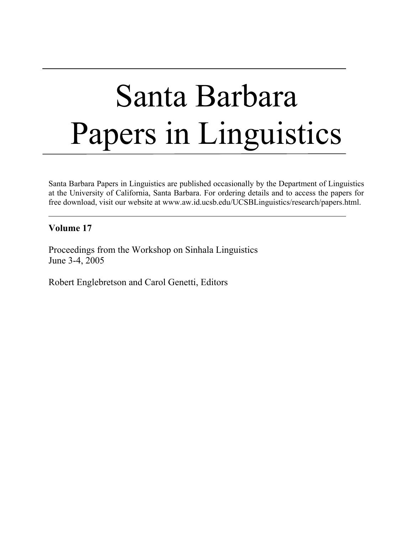# Santa Barbara Papers in Linguistics

Santa Barbara Papers in Linguistics are published occasionally by the Department of Linguistics at the University of California, Santa Barbara. For ordering details and to access the papers for free download, visit our website at www.aw.id.ucsb.edu/UCSBLinguistics/research/papers.html.

#### **Volume 17**

Proceedings from the Workshop on Sinhala Linguistics June 3-4, 2005

Robert Englebretson and Carol Genetti, Editors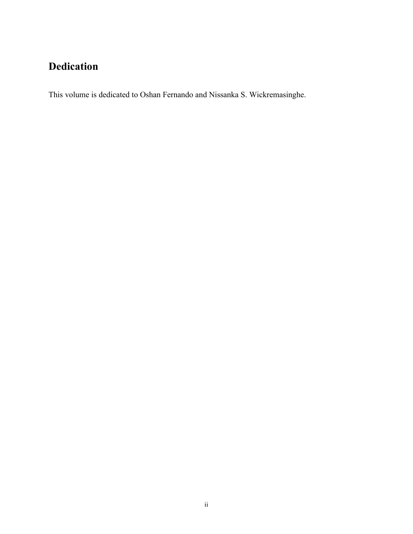## **Dedication**

This volume is dedicated to Oshan Fernando and Nissanka S. Wickremasinghe.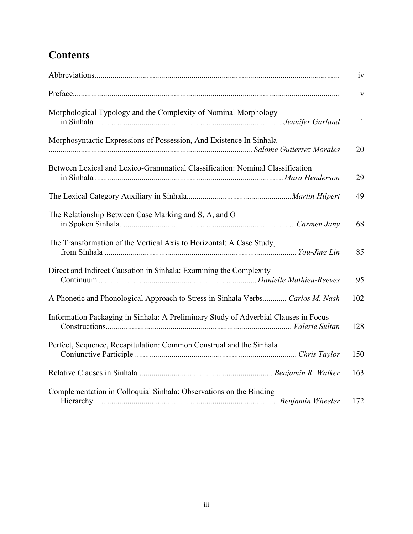# **Contents**

|                                                                                     | iv                      |
|-------------------------------------------------------------------------------------|-------------------------|
|                                                                                     | $\overline{\mathbf{V}}$ |
| Morphological Typology and the Complexity of Nominal Morphology                     | $\mathbf{1}$            |
| Morphosyntactic Expressions of Possession, And Existence In Sinhala                 | 20                      |
| Between Lexical and Lexico-Grammatical Classification: Nominal Classification       | 29                      |
|                                                                                     | 49                      |
| The Relationship Between Case Marking and S, A, and O                               | 68                      |
| The Transformation of the Vertical Axis to Horizontal: A Case Study.                | 85                      |
| Direct and Indirect Causation in Sinhala: Examining the Complexity                  | 95                      |
| A Phonetic and Phonological Approach to Stress in Sinhala Verbs Carlos M. Nash      | 102                     |
| Information Packaging in Sinhala: A Preliminary Study of Adverbial Clauses in Focus | 128                     |
| Perfect, Sequence, Recapitulation: Common Construal and the Sinhala                 | 150                     |
|                                                                                     | 163                     |
| Complementation in Colloquial Sinhala: Observations on the Binding                  | 172                     |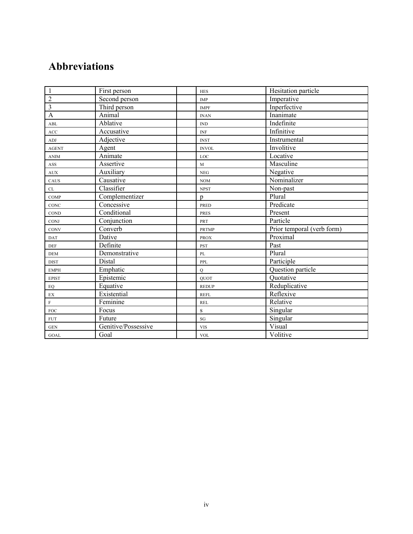### **Abbreviations**

| $\mathbf{1}$               | First person        | <b>HES</b>                       | Hesitation particle        |
|----------------------------|---------------------|----------------------------------|----------------------------|
| $\overline{2}$             | Second person       | IMP                              | Imperative                 |
| $\overline{3}$             | Third person        | <b>IMPF</b>                      | Inperfective               |
| $\mathbf{A}$               | Animal              | <b>INAN</b>                      | Inanimate                  |
| ABL                        | Ablative            | $\mathbb{IND}$                   | Indefinite                 |
| ACC                        | Accusative          | $\ensuremath{\text{INF}}\xspace$ | Infinitive                 |
| ADJ                        | Adjective           | <b>INST</b>                      | Instrumental               |
| <b>AGENT</b>               | Agent               | <b>INVOL</b>                     | Involitive                 |
| ANIM                       | Animate             | LOC                              | Locative                   |
| ASS                        | Assertive           | M                                | Masculine                  |
| <b>AUX</b>                 | Auxiliary           | ${\rm NEG}$                      | Negative                   |
| CAUS                       | Causative           | <b>NOM</b>                       | Nominalizer                |
| CL                         | Classifier          | <b>NPST</b>                      | Non-past                   |
| <b>COMP</b>                | Complementizer      | $\mathbf{D}$                     | Plural                     |
| CONC                       | Concessive          | PRED                             | Predicate                  |
| COND                       | Conditional         | <b>PRES</b>                      | Present                    |
| CONJ                       | Conjunction         | PRT                              | Particle                   |
| CONV                       | Converb             | <b>PRTMP</b>                     | Prior temporal (verb form) |
| <b>DAT</b>                 | Dative              | <b>PROX</b>                      | Proximal                   |
| <b>DEF</b>                 | Definite            | <b>PST</b>                       | Past                       |
| $DEM$                      | Demonstrative       | PL                               | Plural                     |
| <b>DIST</b>                | Distal              | PPL                              | Participle                 |
| <b>EMPH</b>                | Emphatic            | $\mathbf Q$                      | Question particle          |
| <b>EPIST</b>               | Epistemic           | <b>OUOT</b>                      | Quotative                  |
| EQ                         | Equative            | <b>REDUP</b>                     | Reduplicative              |
| $\mathop{\rm EX}\nolimits$ | Existential         | <b>REFL</b>                      | Reflexive                  |
| $\mathbf F$                | Feminine            | <b>REL</b>                       | Relative                   |
| FOC                        | Focus               | $\mathbf S$                      | Singular                   |
| <b>FUT</b>                 | Future              | SG                               | Singular                   |
| <b>GEN</b>                 | Genitive/Possessive | <b>VIS</b>                       | Visual                     |
| <b>GOAL</b>                | Goal                | $\ensuremath{\text{VOL}}\xspace$ | Volitive                   |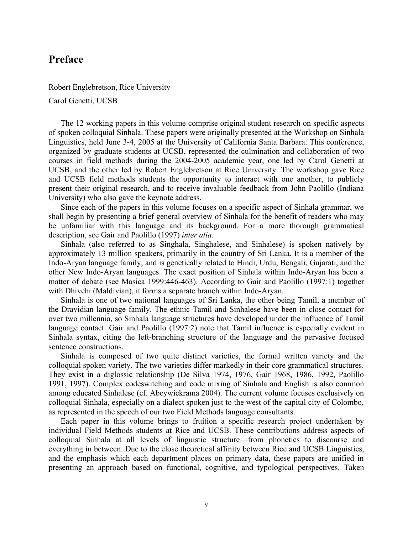#### **Preface**

Robert Englebretson, Rice University Carol Genetti, UCSB

The 12 working papers in this volume comprise original student research on specific aspects of spoken colloquial Sinhala. These papers were originally presented at the Workshop on Sinhala Linguistics, held June 3-4, 2005 at the University of California Santa Barbara. This conference, organized by graduate students at UCSB, represented the culmination and collaboration of two courses in field methods during the 2004-2005 academic year, one led by Carol Genetti at UCSB, and the other led by Robert Englebretson at Rice University. The workshop gave Rice and UCSB field methods students the opportunity to interact with one another, to publicly present their original research, and to receive invaluable feedback from John Paolillo (Indiana University) who also gave the keynote address.

Since each of the papers in this volume focuses on a specific aspect of Sinhala grammar, we shall begin by presenting a brief general overview of Sinhala for the benefit of readers who may be unfamiliar with this language and its background. For a more thorough grammatical description, see Gair and Paolillo (1997) *inter alia*.

Sinhala (also referred to as Singhala, Singhalese, and Sinhalese) is spoken natively by approximately 13 million speakers, primarily in the country of Sri Lanka. It is a member of the Indo-Aryan language family, and is genetically related to Hindi, Urdu, Bengali, Gujarati, and the other New Indo-Aryan languages. The exact position of Sinhala within Indo-Aryan has been a matter of debate (see Masica 1999:446-463). According to Gair and Paolillo (1997:1) together with Dhivehi (Maldivian), it forms a separate branch within Indo-Aryan.

Sinhala is one of two national languages of Sri Lanka, the other being Tamil, a member of the Dravidian language family. The ethnic Tamil and Sinhalese have been in close contact for over two millennia, so Sinhala language structures have developed under the influence of Tamil language contact. Gair and Paolillo (1997:2) note that Tamil influence is especially evident in Sinhala syntax, citing the left-branching structure of the language and the pervasive focused sentence constructions.

Sinhala is composed of two quite distinct varieties, the formal written variety and the colloquial spoken variety. The two varieties differ markedly in their core grammatical structures. They exist in a diglossic relationship (De Silva 1974, 1976, Gair 1968, 1986, 1992, Paolillo 1991, 1997). Complex codeswitching and code mixing of Sinhala and English is also common among educated Sinhalese (cf. Abeywickrama 2004). The current volume focuses exclusively on colloquial Sinhala, especially on a dialect spoken just to the west of the capital city of Colombo, as represented in the speech of our two Field Methods language consultants.

Each paper in this volume brings to fruition a specific research project undertaken by individual Field Methods students at Rice and UCSB. These contributions address aspects of colloquial Sinhala at all levels of linguistic structure—from phonetics to discourse and everything in between. Due to the close theoretical affinity between Rice and UCSB Linguistics, and the emphasis which each department places on primary data, these papers are unified in presenting an approach based on functional, cognitive, and typological perspectives. Taken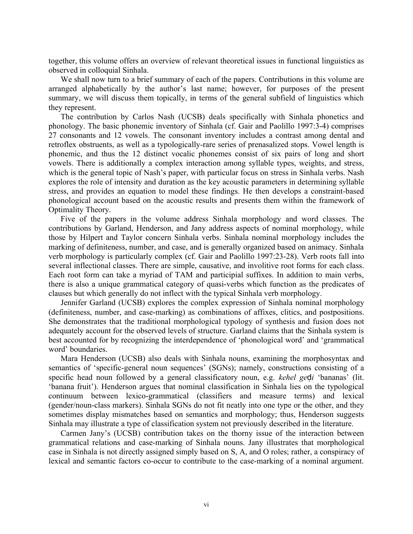together, this volume offers an overview of relevant theoretical issues in functional linguistics as observed in colloquial Sinhala.

We shall now turn to a brief summary of each of the papers. Contributions in this volume are arranged alphabetically by the author's last name; however, for purposes of the present summary, we will discuss them topically, in terms of the general subfield of linguistics which they represent.

The contribution by Carlos Nash (UCSB) deals specifically with Sinhala phonetics and phonology. The basic phonemic inventory of Sinhala (cf. Gair and Paolillo 1997:3-4) comprises 27 consonants and 12 vowels. The consonant inventory includes a contrast among dental and retroflex obstruents, as well as a typologically-rare series of prenasalized stops. Vowel length is phonemic, and thus the 12 distinct vocalic phonemes consist of six pairs of long and short vowels. There is additionally a complex interaction among syllable types, weights, and stress, which is the general topic of Nash's paper, with particular focus on stress in Sinhala verbs. Nash explores the role of intensity and duration as the key acoustic parameters in determining syllable stress, and provides an equation to model these findings. He then develops a constraint-based phonological account based on the acoustic results and presents them within the framework of Optimality Theory.

Five of the papers in the volume address Sinhala morphology and word classes. The contributions by Garland, Henderson, and Jany address aspects of nominal morphology, while those by Hilpert and Taylor concern Sinhala verbs. Sinhala nominal morphology includes the marking of definiteness, number, and case, and is generally organized based on animacy. Sinhala verb morphology is particularly complex (cf. Gair and Paolillo 1997:23-28). Verb roots fall into several inflectional classes. There are simple, causative, and involitive root forms for each class. Each root form can take a myriad of TAM and participial suffixes. In addition to main verbs, there is also a unique grammatical category of quasi-verbs which function as the predicates of clauses but which generally do not inflect with the typical Sinhala verb morphology.

Jennifer Garland (UCSB) explores the complex expression of Sinhala nominal morphology (definiteness, number, and case-marking) as combinations of affixes, clitics, and postpositions. She demonstrates that the traditional morphological typology of synthesis and fusion does not adequately account for the observed levels of structure. Garland claims that the Sinhala system is best accounted for by recognizing the interdependence of 'phonological word' and 'grammatical word' boundaries.

Mara Henderson (UCSB) also deals with Sinhala nouns, examining the morphosyntax and semantics of 'specific-general noun sequences' (SGNs); namely, constructions consisting of a specific head noun followed by a general classificatory noun, e.g. *kehel ge*ḍ*i* 'bananas' (lit. 'banana fruit'). Henderson argues that nominal classification in Sinhala lies on the typological continuum between lexico-grammatical (classifiers and measure terms) and lexical (gender/noun-class markers). Sinhala SGNs do not fit neatly into one type or the other, and they sometimes display mismatches based on semantics and morphology; thus, Henderson suggests Sinhala may illustrate a type of classification system not previously described in the literature.

Carmen Jany's (UCSB) contribution takes on the thorny issue of the interaction between grammatical relations and case-marking of Sinhala nouns. Jany illustrates that morphological case in Sinhala is not directly assigned simply based on S, A, and O roles; rather, a conspiracy of lexical and semantic factors co-occur to contribute to the case-marking of a nominal argument.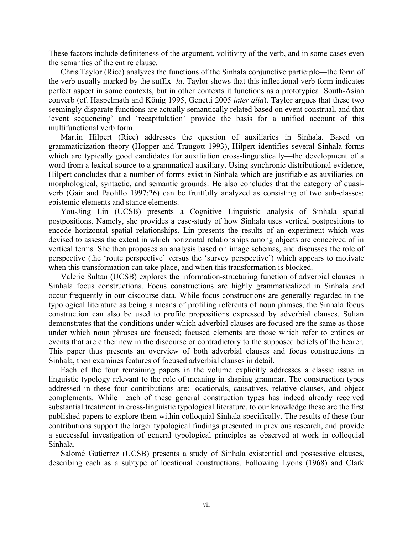These factors include definiteness of the argument, volitivity of the verb, and in some cases even the semantics of the entire clause.

Chris Taylor (Rice) analyzes the functions of the Sinhala conjunctive participle—the form of the verb usually marked by the suffix -*la*. Taylor shows that this inflectional verb form indicates perfect aspect in some contexts, but in other contexts it functions as a prototypical South-Asian converb (cf. Haspelmath and König 1995, Genetti 2005 *inter alia*). Taylor argues that these two seemingly disparate functions are actually semantically related based on event construal, and that 'event sequencing' and 'recapitulation' provide the basis for a unified account of this multifunctional verb form.

Martin Hilpert (Rice) addresses the question of auxiliaries in Sinhala. Based on grammaticization theory (Hopper and Traugott 1993), Hilpert identifies several Sinhala forms which are typically good candidates for auxiliation cross-linguistically—the development of a word from a lexical source to a grammatical auxiliary. Using synchronic distributional evidence, Hilpert concludes that a number of forms exist in Sinhala which are justifiable as auxiliaries on morphological, syntactic, and semantic grounds. He also concludes that the category of quasiverb (Gair and Paolillo 1997:26) can be fruitfully analyzed as consisting of two sub-classes: epistemic elements and stance elements.

You-Jing Lin (UCSB) presents a Cognitive Linguistic analysis of Sinhala spatial postpositions. Namely, she provides a case-study of how Sinhala uses vertical postpositions to encode horizontal spatial relationships. Lin presents the results of an experiment which was devised to assess the extent in which horizontal relationships among objects are conceived of in vertical terms. She then proposes an analysis based on image schemas, and discusses the role of perspective (the 'route perspective' versus the 'survey perspective') which appears to motivate when this transformation can take place, and when this transformation is blocked.

Valerie Sultan (UCSB) explores the information-structuring function of adverbial clauses in Sinhala focus constructions. Focus constructions are highly grammaticalized in Sinhala and occur frequently in our discourse data. While focus constructions are generally regarded in the typological literature as being a means of profiling referents of noun phrases, the Sinhala focus construction can also be used to profile propositions expressed by adverbial clauses. Sultan demonstrates that the conditions under which adverbial clauses are focused are the same as those under which noun phrases are focused; focused elements are those which refer to entities or events that are either new in the discourse or contradictory to the supposed beliefs of the hearer. This paper thus presents an overview of both adverbial clauses and focus constructions in Sinhala, then examines features of focused adverbial clauses in detail.

Each of the four remaining papers in the volume explicitly addresses a classic issue in linguistic typology relevant to the role of meaning in shaping grammar. The construction types addressed in these four contributions are: locationals, causatives, relative clauses, and object complements. While each of these general construction types has indeed already received substantial treatment in cross-linguistic typological literature, to our knowledge these are the first published papers to explore them within colloquial Sinhala specifically. The results of these four contributions support the larger typological findings presented in previous research, and provide a successful investigation of general typological principles as observed at work in colloquial Sinhala.

Salomé Gutierrez (UCSB) presents a study of Sinhala existential and possessive clauses, describing each as a subtype of locational constructions. Following Lyons (1968) and Clark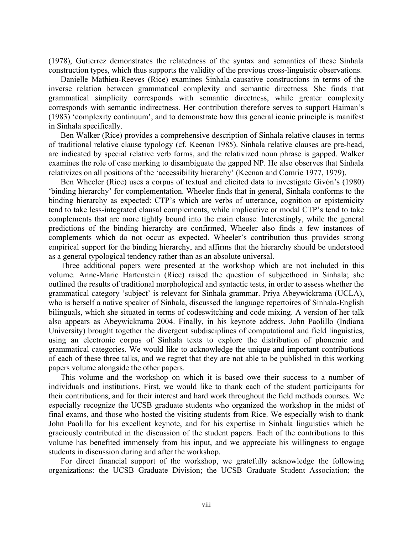(1978), Gutierrez demonstrates the relatedness of the syntax and semantics of these Sinhala construction types, which thus supports the validity of the previous cross-linguistic observations.

Danielle Mathieu-Reeves (Rice) examines Sinhala causative constructions in terms of the inverse relation between grammatical complexity and semantic directness. She finds that grammatical simplicity corresponds with semantic directness, while greater complexity corresponds with semantic indirectness. Her contribution therefore serves to support Haiman's (1983) 'complexity continuum', and to demonstrate how this general iconic principle is manifest in Sinhala specifically.

Ben Walker (Rice) provides a comprehensive description of Sinhala relative clauses in terms of traditional relative clause typology (cf. Keenan 1985). Sinhala relative clauses are pre-head, are indicated by special relative verb forms, and the relativized noun phrase is gapped. Walker examines the role of case marking to disambiguate the gapped NP. He also observes that Sinhala relativizes on all positions of the 'accessibility hierarchy' (Keenan and Comrie 1977, 1979).

Ben Wheeler (Rice) uses a corpus of textual and elicited data to investigate Givón's (1980) 'binding hierarchy' for complementation. Wheeler finds that in general, Sinhala conforms to the binding hierarchy as expected: CTP's which are verbs of utterance, cognition or epistemicity tend to take less-integrated clausal complements, while implicative or modal CTP's tend to take complements that are more tightly bound into the main clause. Interestingly, while the general predictions of the binding hierarchy are confirmed, Wheeler also finds a few instances of complements which do not occur as expected. Wheeler's contribution thus provides strong empirical support for the binding hierarchy, and affirms that the hierarchy should be understood as a general typological tendency rather than as an absolute universal.

Three additional papers were presented at the workshop which are not included in this volume. Anne-Marie Hartenstein (Rice) raised the question of subjecthood in Sinhala; she outlined the results of traditional morphological and syntactic tests, in order to assess whether the grammatical category 'subject' is relevant for Sinhala grammar. Priya Abeywickrama (UCLA), who is herself a native speaker of Sinhala, discussed the language repertoires of Sinhala-English bilinguals, which she situated in terms of codeswitching and code mixing. A version of her talk also appears as Abeywickrama 2004. Finally, in his keynote address, John Paolillo (Indiana University) brought together the divergent subdisciplines of computational and field linguistics, using an electronic corpus of Sinhala texts to explore the distribution of phonemic and grammatical categories. We would like to acknowledge the unique and important contributions of each of these three talks, and we regret that they are not able to be published in this working papers volume alongside the other papers.

This volume and the workshop on which it is based owe their success to a number of individuals and institutions. First, we would like to thank each of the student participants for their contributions, and for their interest and hard work throughout the field methods courses. We especially recognize the UCSB graduate students who organized the workshop in the midst of final exams, and those who hosted the visiting students from Rice. We especially wish to thank John Paolillo for his excellent keynote, and for his expertise in Sinhala linguistics which he graciously contributed in the discussion of the student papers. Each of the contributions to this volume has benefited immensely from his input, and we appreciate his willingness to engage students in discussion during and after the workshop.

For direct financial support of the workshop, we gratefully acknowledge the following organizations: the UCSB Graduate Division; the UCSB Graduate Student Association; the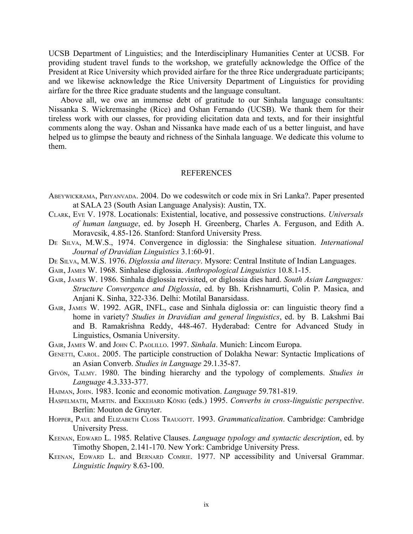UCSB Department of Linguistics; and the Interdisciplinary Humanities Center at UCSB. For providing student travel funds to the workshop, we gratefully acknowledge the Office of the President at Rice University which provided airfare for the three Rice undergraduate participants; and we likewise acknowledge the Rice University Department of Linguistics for providing airfare for the three Rice graduate students and the language consultant.

Above all, we owe an immense debt of gratitude to our Sinhala language consultants: Nissanka S. Wickremasinghe (Rice) and Oshan Fernando (UCSB). We thank them for their tireless work with our classes, for providing elicitation data and texts, and for their insightful comments along the way. Oshan and Nissanka have made each of us a better linguist, and have helped us to glimpse the beauty and richness of the Sinhala language. We dedicate this volume to them.

#### REFERENCES

- ABEYWICKRAMA, PRIYANVADA. 2004. Do we codeswitch or code mix in Sri Lanka?. Paper presented at SALA 23 (South Asian Language Analysis): Austin, TX.
- CLARK, EVE V. 1978. Locationals: Existential, locative, and possessive constructions. *Universals of human language*, ed. by Joseph H. Greenberg, Charles A. Ferguson, and Edith A. Moravcsik, 4.85-126. Stanford: Stanford University Press.
- D<sup>E</sup> SILVA, M.W.S., 1974. Convergence in diglossia: the Singhalese situation. *International Journal of Dravidian Linguistics* 3.1:60-91.
- DE SILVA, M.W.S. 1976. *Diglossia and literacy*. Mysore: Central Institute of Indian Languages.
- GAIR, JAMES W. 1968. Sinhalese diglossia. *Anthropological Linguistics* 10.8.1-15.
- GAIR, JAMES W. 1986. Sinhala diglossia revisited, or diglossia dies hard. *South Asian Languages: Structure Convergence and Diglossia*, ed. by Bh. Krishnamurti, Colin P. Masica, and Anjani K. Sinha, 322-336. Delhi: Motilal Banarsidass.
- GAIR, JAMES W. 1992. AGR, INFL, case and Sinhala diglossia or: can linguistic theory find a home in variety? *Studies in Dravidian and general linguistics*, ed. by B. Lakshmi Bai and B. Ramakrishna Reddy, 448-467. Hyderabad: Centre for Advanced Study in Linguistics, Osmania University.
- GAIR, JAMES W. and JOHN C. PAOLILLO. 1997. *Sinhala*. Munich: Lincom Europa.
- GENETTI, CAROL. 2005. The participle construction of Dolakha Newar: Syntactic Implications of an Asian Converb. *Studies in Language* 29.1.35-87.
- GIVÓN, TALMY. 1980. The binding hierarchy and the typology of complements. *Studies in Language* 4.3.333-377.
- HAIMAN, JOHN. 1983. Iconic and economic motivation. *Language* 59.781-819.
- HASPELMATH, MARTIN. and EKKEHARD KÖNIG (eds.) 1995. *Converbs in cross-linguistic perspective*. Berlin: Mouton de Gruyter.
- HOPPER, PAUL and ELIZABETH CLOSS TRAUGOTT. 1993. *Grammaticalization*. Cambridge: Cambridge University Press.
- KEENAN, EDWARD L. 1985. Relative Clauses. *Language typology and syntactic description*, ed. by Timothy Shopen, 2.141-170. New York: Cambridge University Press.
- KEENAN, EDWARD L. and BERNARD COMRIE. 1977. NP accessibility and Universal Grammar. *Linguistic Inquiry* 8.63-100.